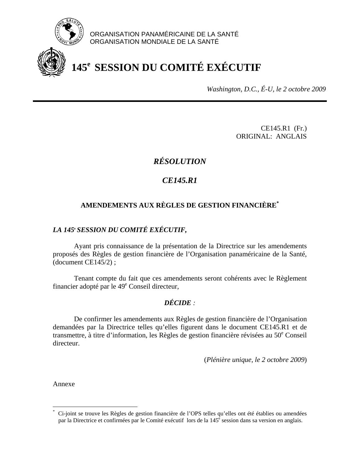

ORGANISATION PANAMÉRICAINE DE LA SANTÉ ORGANISATION MONDIALE DE LA SANTÉ

# **145e SESSION DU COMITÉ EXÉCUTIF**

*Washington, D.C., É-U, le 2 octobre 2009*

CE145.R1 (Fr.) ORIGINAL: ANGLAIS

# *RÉSOLUTION*

# *CE145.R1*

# **AMENDEMENTS AUX RÈGLES DE GESTION FINANCIÈRE\***

# *LA 145***<sup>e</sup>** *SESSION DU COMITÉ EXÉCUTIF,*

 Ayant pris connaissance de la présentation de la Directrice sur les amendements proposés des Règles de gestion financière de l'Organisation panaméricaine de la Santé, (document CE145/2) ;

 Tenant compte du fait que ces amendements seront cohérents avec le Règlement financier adopté par le 49<sup>e</sup> Conseil directeur,

# *DÉCIDE :*

 De confirmer les amendements aux Règles de gestion financière de l'Organisation demandées par la Directrice telles qu'elles figurent dans le document CE145.R1 et de transmettre, à titre d'information, les Règles de gestion financière révisées au 50<sup>e</sup> Conseil directeur.

(*Plénière unique, le 2 octobre 2009*)

Annexe

 $\overline{a}$ 

<sup>\*</sup> Ci-joint se trouve les Règles de gestion financière de l'OPS telles qu'elles ont été établies ou amendées par la Directrice et confirmées par le Comité exécutif lors de la 145<sup>e</sup> session dans sa version en anglais.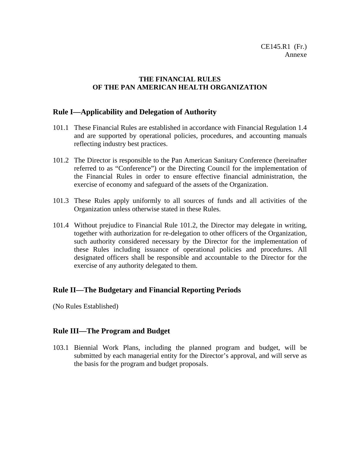# **THE FINANCIAL RULES OF THE PAN AMERICAN HEALTH ORGANIZATION**

# **Rule I—Applicability and Delegation of Authority**

- 101.1 These Financial Rules are established in accordance with Financial Regulation 1.4 and are supported by operational policies, procedures, and accounting manuals reflecting industry best practices.
- 101.2 The Director is responsible to the Pan American Sanitary Conference (hereinafter referred to as "Conference") or the Directing Council for the implementation of the Financial Rules in order to ensure effective financial administration, the exercise of economy and safeguard of the assets of the Organization.
- 101.3 These Rules apply uniformly to all sources of funds and all activities of the Organization unless otherwise stated in these Rules.
- 101.4 Without prejudice to Financial Rule 101.2, the Director may delegate in writing, together with authorization for re-delegation to other officers of the Organization, such authority considered necessary by the Director for the implementation of these Rules including issuance of operational policies and procedures. All designated officers shall be responsible and accountable to the Director for the exercise of any authority delegated to them.

# **Rule II—The Budgetary and Financial Reporting Periods**

(No Rules Established)

# **Rule III—The Program and Budget**

103.1 Biennial Work Plans, including the planned program and budget, will be submitted by each managerial entity for the Director's approval, and will serve as the basis for the program and budget proposals.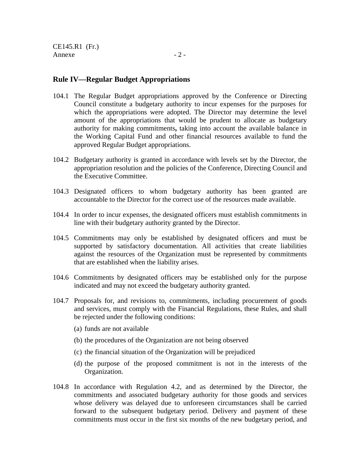# **Rule IV—Regular Budget Appropriations**

- 104.1 The Regular Budget appropriations approved by the Conference or Directing Council constitute a budgetary authority to incur expenses for the purposes for which the appropriations were adopted. The Director may determine the level amount of the appropriations that would be prudent to allocate as budgetary authority for making commitments**,** taking into account the available balance in the Working Capital Fund and other financial resources available to fund the approved Regular Budget appropriations.
- 104.2 Budgetary authority is granted in accordance with levels set by the Director, the appropriation resolution and the policies of the Conference, Directing Council and the Executive Committee.
- 104.3 Designated officers to whom budgetary authority has been granted are accountable to the Director for the correct use of the resources made available.
- 104.4 In order to incur expenses, the designated officers must establish commitments in line with their budgetary authority granted by the Director.
- 104.5 Commitments may only be established by designated officers and must be supported by satisfactory documentation. All activities that create liabilities against the resources of the Organization must be represented by commitments that are established when the liability arises.
- 104.6 Commitments by designated officers may be established only for the purpose indicated and may not exceed the budgetary authority granted.
- 104.7 Proposals for, and revisions to, commitments, including procurement of goods and services, must comply with the Financial Regulations, these Rules, and shall be rejected under the following conditions:
	- (a) funds are not available
	- (b) the procedures of the Organization are not being observed
	- (c) the financial situation of the Organization will be prejudiced
	- (d) the purpose of the proposed commitment is not in the interests of the Organization.
- 104.8 In accordance with Regulation 4.2, and as determined by the Director, the commitments and associated budgetary authority for those goods and services whose delivery was delayed due to unforeseen circumstances shall be carried forward to the subsequent budgetary period. Delivery and payment of these commitments must occur in the first six months of the new budgetary period, and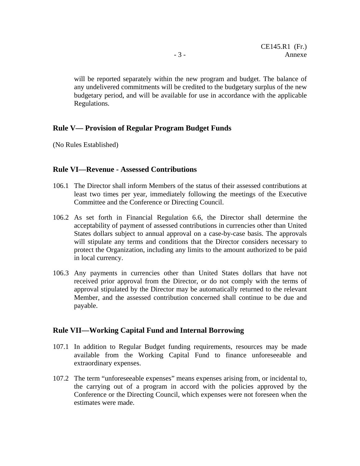will be reported separately within the new program and budget. The balance of any undelivered commitments will be credited to the budgetary surplus of the new budgetary period, and will be available for use in accordance with the applicable Regulations.

#### **Rule V— Provision of Regular Program Budget Funds**

(No Rules Established)

# **Rule VI—Revenue - Assessed Contributions**

- 106.1 The Director shall inform Members of the status of their assessed contributions at least two times per year, immediately following the meetings of the Executive Committee and the Conference or Directing Council.
- 106.2 As set forth in Financial Regulation 6.6, the Director shall determine the acceptability of payment of assessed contributions in currencies other than United States dollars subject to annual approval on a case-by-case basis. The approvals will stipulate any terms and conditions that the Director considers necessary to protect the Organization, including any limits to the amount authorized to be paid in local currency.
- 106.3 Any payments in currencies other than United States dollars that have not received prior approval from the Director, or do not comply with the terms of approval stipulated by the Director may be automatically returned to the relevant Member, and the assessed contribution concerned shall continue to be due and payable.

#### **Rule VII—Working Capital Fund and Internal Borrowing**

- 107.1 In addition to Regular Budget funding requirements, resources may be made available from the Working Capital Fund to finance unforeseeable and extraordinary expenses.
- 107.2 The term "unforeseeable expenses" means expenses arising from, or incidental to, the carrying out of a program in accord with the policies approved by the Conference or the Directing Council, which expenses were not foreseen when the estimates were made.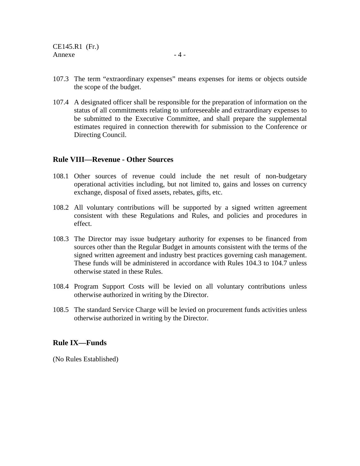107.4 A designated officer shall be responsible for the preparation of information on the status of all commitments relating to unforeseeable and extraordinary expenses to be submitted to the Executive Committee, and shall prepare the supplemental estimates required in connection therewith for submission to the Conference or Directing Council.

# **Rule VIII—Revenue - Other Sources**

- 108.1 Other sources of revenue could include the net result of non-budgetary operational activities including, but not limited to, gains and losses on currency exchange, disposal of fixed assets, rebates, gifts, etc.
- 108.2 All voluntary contributions will be supported by a signed written agreement consistent with these Regulations and Rules, and policies and procedures in effect.
- 108.3 The Director may issue budgetary authority for expenses to be financed from sources other than the Regular Budget in amounts consistent with the terms of the signed written agreement and industry best practices governing cash management. These funds will be administered in accordance with Rules 104.3 to 104.7 unless otherwise stated in these Rules.
- 108.4 Program Support Costs will be levied on all voluntary contributions unless otherwise authorized in writing by the Director.
- 108.5 The standard Service Charge will be levied on procurement funds activities unless otherwise authorized in writing by the Director.

# **Rule IX—Funds**

(No Rules Established)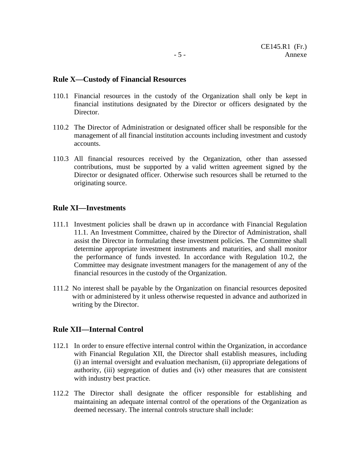#### **Rule X—Custody of Financial Resources**

- 110.1 Financial resources in the custody of the Organization shall only be kept in financial institutions designated by the Director or officers designated by the Director.
- 110.2 The Director of Administration or designated officer shall be responsible for the management of all financial institution accounts including investment and custody accounts.
- 110.3 All financial resources received by the Organization, other than assessed contributions, must be supported by a valid written agreement signed by the Director or designated officer. Otherwise such resources shall be returned to the originating source.

#### **Rule XI—Investments**

- 111.1 Investment policies shall be drawn up in accordance with Financial Regulation 11.1. An Investment Committee, chaired by the Director of Administration, shall assist the Director in formulating these investment policies. The Committee shall determine appropriate investment instruments and maturities, and shall monitor the performance of funds invested. In accordance with Regulation 10.2, the Committee may designate investment managers for the management of any of the financial resources in the custody of the Organization.
- 111.2 No interest shall be payable by the Organization on financial resources deposited with or administered by it unless otherwise requested in advance and authorized in writing by the Director.

#### **Rule XII—Internal Control**

- 112.1 In order to ensure effective internal control within the Organization, in accordance with Financial Regulation XII, the Director shall establish measures, including (i) an internal oversight and evaluation mechanism, (ii) appropriate delegations of authority, (iii) segregation of duties and (iv) other measures that are consistent with industry best practice.
- 112.2 The Director shall designate the officer responsible for establishing and maintaining an adequate internal control of the operations of the Organization as deemed necessary. The internal controls structure shall include: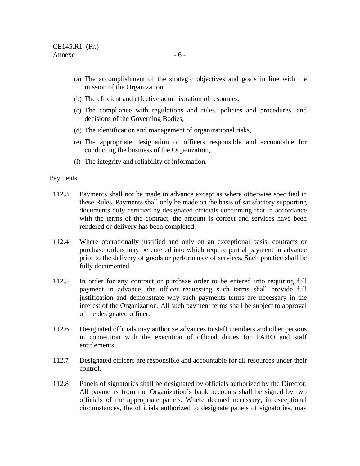- (a) The accomplishment of the strategic objectives and goals in line with the mission of the Organization,
- (b) The efficient and effective administration of resources,
- (c) The compliance with regulations and rules, policies and procedures, and decisions of the Governing Bodies,
- (d) The identification and management of organizational risks,
- (e) The appropriate designation of officers responsible and accountable for conducting the business of the Organization,
- (f) The integrity and reliability of information.

#### Payments

- 112.3 Payments shall not be made in advance except as where otherwise specified in these Rules. Payments shall only be made on the basis of satisfactory supporting documents duly certified by designated officials confirming that in accordance with the terms of the contract, the amount is correct and services have been rendered or delivery has been completed.
- 112.4 Where operationally justified and only on an exceptional basis, contracts or purchase orders may be entered into which require partial payment in advance prior to the delivery of goods or performance of services. Such practice shall be fully documented.
- 112.5 In order for any contract or purchase order to be entered into requiring full payment in advance, the officer requesting such terms shall provide full justification and demonstrate why such payments terms are necessary in the interest of the Organization. All such payment terms shall be subject to approval of the designated officer.
- 112.6 Designated officials may authorize advances to staff members and other persons in connection with the execution of official duties for PAHO and staff entitlements.
- 112.7Designated officers are responsible and accountable for all resources under their control.
- 112.8 Panels of signatories shall be designated by officials authorized by the Director. All payments from the Organization's bank accounts shall be signed by two officials of the appropriate panels. Where deemed necessary, in exceptional circumstances, the officials authorized to designate panels of signatories, may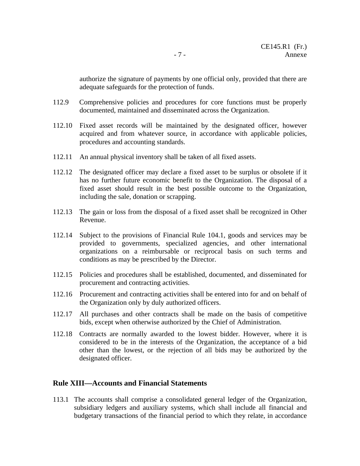authorize the signature of payments by one official only, provided that there are adequate safeguards for the protection of funds.

- 112.9 Comprehensive policies and procedures for core functions must be properly documented, maintained and disseminated across the Organization.
- 112.10 Fixed asset records will be maintained by the designated officer, however acquired and from whatever source, in accordance with applicable policies, procedures and accounting standards.
- 112.11 An annual physical inventory shall be taken of all fixed assets.
- 112.12 The designated officer may declare a fixed asset to be surplus or obsolete if it has no further future economic benefit to the Organization. The disposal of a fixed asset should result in the best possible outcome to the Organization, including the sale, donation or scrapping.
- 112.13 The gain or loss from the disposal of a fixed asset shall be recognized in Other Revenue.
- 112.14 Subject to the provisions of Financial Rule 104.1, goods and services may be provided to governments, specialized agencies, and other international organizations on a reimbursable or reciprocal basis on such terms and conditions as may be prescribed by the Director.
- 112.15 Policies and procedures shall be established, documented, and disseminated for procurement and contracting activities.
- 112.16 Procurement and contracting activities shall be entered into for and on behalf of the Organization only by duly authorized officers.
- 112.17 All purchases and other contracts shall be made on the basis of competitive bids, except when otherwise authorized by the Chief of Administration.
- 112.18 Contracts are normally awarded to the lowest bidder. However, where it is considered to be in the interests of the Organization, the acceptance of a bid other than the lowest, or the rejection of all bids may be authorized by the designated officer.

#### **Rule XIII—Accounts and Financial Statements**

113.1 The accounts shall comprise a consolidated general ledger of the Organization, subsidiary ledgers and auxiliary systems, which shall include all financial and budgetary transactions of the financial period to which they relate, in accordance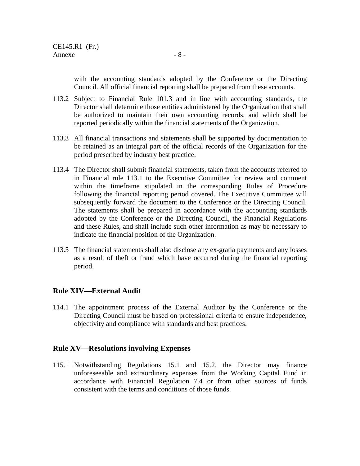with the accounting standards adopted by the Conference or the Directing Council. All official financial reporting shall be prepared from these accounts.

- 113.2 Subject to Financial Rule 101.3 and in line with accounting standards, the Director shall determine those entities administered by the Organization that shall be authorized to maintain their own accounting records, and which shall be reported periodically within the financial statements of the Organization.
- 113.3 All financial transactions and statements shall be supported by documentation to be retained as an integral part of the official records of the Organization for the period prescribed by industry best practice.
- 113.4 The Director shall submit financial statements, taken from the accounts referred to in Financial rule 113.1 to the Executive Committee for review and comment within the timeframe stipulated in the corresponding Rules of Procedure following the financial reporting period covered. The Executive Committee will subsequently forward the document to the Conference or the Directing Council. The statements shall be prepared in accordance with the accounting standards adopted by the Conference or the Directing Council, the Financial Regulations and these Rules, and shall include such other information as may be necessary to indicate the financial position of the Organization.
- 113.5 The financial statements shall also disclose any ex-gratia payments and any losses as a result of theft or fraud which have occurred during the financial reporting period.

# **Rule XIV—External Audit**

114.1 The appointment process of the External Auditor by the Conference or the Directing Council must be based on professional criteria to ensure independence, objectivity and compliance with standards and best practices.

# **Rule XV—Resolutions involving Expenses**

115.1 Notwithstanding Regulations 15.1 and 15.2, the Director may finance unforeseeable and extraordinary expenses from the Working Capital Fund in accordance with Financial Regulation 7.4 or from other sources of funds consistent with the terms and conditions of those funds.